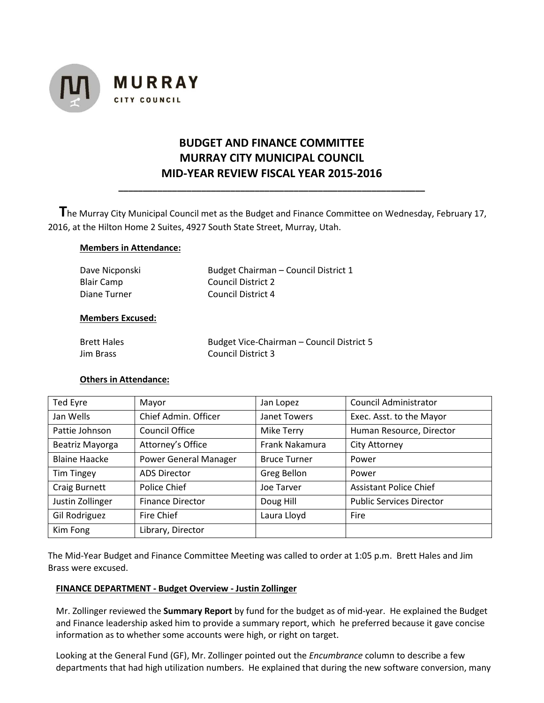

# **BUDGET AND FINANCE COMMITTEE MURRAY CITY MUNICIPAL COUNCIL MID-YEAR REVIEW FISCAL YEAR 2015-2016**

**\_\_\_\_\_\_\_\_\_\_\_\_\_\_\_\_\_\_\_\_\_\_\_\_\_\_\_\_\_\_\_\_\_\_\_\_\_\_\_\_\_\_\_\_\_\_\_\_\_\_\_\_\_\_\_\_\_\_\_\_\_\_\_**

 **T**he Murray City Municipal Council met as the Budget and Finance Committee on Wednesday, February 17, 2016, at the Hilton Home 2 Suites, 4927 South State Street, Murray, Utah.

#### **Members in Attendance:**

| Dave Nicponski | Budget Chairman – Council District 1 |
|----------------|--------------------------------------|
| Blair Camp     | Council District 2                   |
| Diane Turner   | Council District 4                   |

#### **Members Excused:**

| <b>Brett Hales</b> | Budget Vice-Chairman - Council District 5 |
|--------------------|-------------------------------------------|
| <b>Jim Brass</b>   | Council District 3                        |

#### **Others in Attendance:**

| Ted Eyre             | Mayor                        | Jan Lopez           | <b>Council Administrator</b>    |
|----------------------|------------------------------|---------------------|---------------------------------|
| Jan Wells            | Chief Admin. Officer         | Janet Towers        | Exec. Asst. to the Mayor        |
| Pattie Johnson       | <b>Council Office</b>        | <b>Mike Terry</b>   | Human Resource, Director        |
| Beatriz Mayorga      | Attorney's Office            | Frank Nakamura      | <b>City Attorney</b>            |
| <b>Blaine Haacke</b> | <b>Power General Manager</b> | <b>Bruce Turner</b> | Power                           |
| <b>Tim Tingey</b>    | <b>ADS Director</b>          | Greg Bellon         | Power                           |
| <b>Craig Burnett</b> | Police Chief                 | Joe Tarver          | <b>Assistant Police Chief</b>   |
| Justin Zollinger     | <b>Finance Director</b>      | Doug Hill           | <b>Public Services Director</b> |
| Gil Rodriguez        | Fire Chief                   | Laura Lloyd         | Fire                            |
| Kim Fong             | Library, Director            |                     |                                 |

The Mid-Year Budget and Finance Committee Meeting was called to order at 1:05 p.m. Brett Hales and Jim Brass were excused.

## **FINANCE DEPARTMENT - Budget Overview - Justin Zollinger**

Mr. Zollinger reviewed the **Summary Report** by fund for the budget as of mid-year. He explained the Budget and Finance leadership asked him to provide a summary report, which he preferred because it gave concise information as to whether some accounts were high, or right on target.

Looking at the General Fund (GF), Mr. Zollinger pointed out the *Encumbrance* column to describe a few departments that had high utilization numbers. He explained that during the new software conversion, many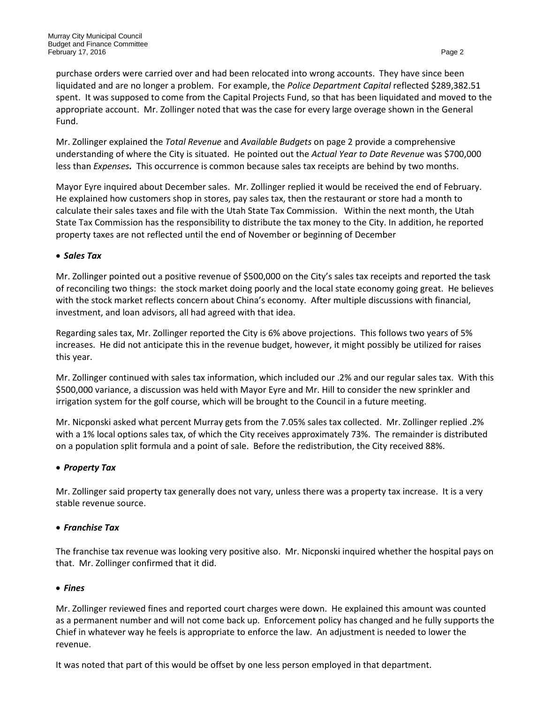purchase orders were carried over and had been relocated into wrong accounts. They have since been liquidated and are no longer a problem. For example, the *Police Department Capital* reflected \$289,382.51 spent. It was supposed to come from the Capital Projects Fund, so that has been liquidated and moved to the appropriate account. Mr. Zollinger noted that was the case for every large overage shown in the General Fund.

Mr. Zollinger explained the *Total Revenue* and *Available Budgets* on page 2 provide a comprehensive understanding of where the City is situated. He pointed out the *Actual Year to Date Revenue* was \$700,000 less than *Expenses.* This occurrence is common because sales tax receipts are behind by two months.

Mayor Eyre inquired about December sales. Mr. Zollinger replied it would be received the end of February. He explained how customers shop in stores, pay sales tax, then the restaurant or store had a month to calculate their sales taxes and file with the Utah State Tax Commission. Within the next month, the Utah State Tax Commission has the responsibility to distribute the tax money to the City. In addition, he reported property taxes are not reflected until the end of November or beginning of December

## • *Sales Tax*

Mr. Zollinger pointed out a positive revenue of \$500,000 on the City's sales tax receipts and reported the task of reconciling two things: the stock market doing poorly and the local state economy going great. He believes with the stock market reflects concern about China's economy. After multiple discussions with financial, investment, and loan advisors, all had agreed with that idea.

Regarding sales tax, Mr. Zollinger reported the City is 6% above projections. This follows two years of 5% increases. He did not anticipate this in the revenue budget, however, it might possibly be utilized for raises this year.

Mr. Zollinger continued with sales tax information, which included our .2% and our regular sales tax. With this \$500,000 variance, a discussion was held with Mayor Eyre and Mr. Hill to consider the new sprinkler and irrigation system for the golf course, which will be brought to the Council in a future meeting.

Mr. Nicponski asked what percent Murray gets from the 7.05% sales tax collected. Mr. Zollinger replied .2% with a 1% local options sales tax, of which the City receives approximately 73%. The remainder is distributed on a population split formula and a point of sale. Before the redistribution, the City received 88%.

## • *Property Tax*

Mr. Zollinger said property tax generally does not vary, unless there was a property tax increase. It is a very stable revenue source.

## • *Franchise Tax*

The franchise tax revenue was looking very positive also. Mr. Nicponski inquired whether the hospital pays on that. Mr. Zollinger confirmed that it did.

## • *Fines*

Mr. Zollinger reviewed fines and reported court charges were down. He explained this amount was counted as a permanent number and will not come back up. Enforcement policy has changed and he fully supports the Chief in whatever way he feels is appropriate to enforce the law. An adjustment is needed to lower the revenue.

It was noted that part of this would be offset by one less person employed in that department.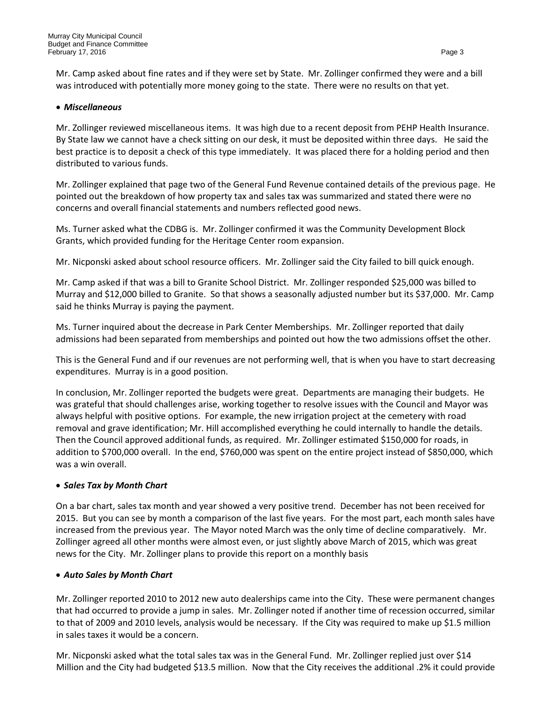Mr. Camp asked about fine rates and if they were set by State. Mr. Zollinger confirmed they were and a bill was introduced with potentially more money going to the state. There were no results on that yet.

## • *Miscellaneous*

Mr. Zollinger reviewed miscellaneous items. It was high due to a recent deposit from PEHP Health Insurance. By State law we cannot have a check sitting on our desk, it must be deposited within three days. He said the best practice is to deposit a check of this type immediately. It was placed there for a holding period and then distributed to various funds.

Mr. Zollinger explained that page two of the General Fund Revenue contained details of the previous page. He pointed out the breakdown of how property tax and sales tax was summarized and stated there were no concerns and overall financial statements and numbers reflected good news.

Ms. Turner asked what the CDBG is. Mr. Zollinger confirmed it was the Community Development Block Grants, which provided funding for the Heritage Center room expansion.

Mr. Nicponski asked about school resource officers. Mr. Zollinger said the City failed to bill quick enough.

Mr. Camp asked if that was a bill to Granite School District. Mr. Zollinger responded \$25,000 was billed to Murray and \$12,000 billed to Granite. So that shows a seasonally adjusted number but its \$37,000. Mr. Camp said he thinks Murray is paying the payment.

Ms. Turner inquired about the decrease in Park Center Memberships. Mr. Zollinger reported that daily admissions had been separated from memberships and pointed out how the two admissions offset the other.

This is the General Fund and if our revenues are not performing well, that is when you have to start decreasing expenditures. Murray is in a good position.

In conclusion, Mr. Zollinger reported the budgets were great. Departments are managing their budgets. He was grateful that should challenges arise, working together to resolve issues with the Council and Mayor was always helpful with positive options. For example, the new irrigation project at the cemetery with road removal and grave identification; Mr. Hill accomplished everything he could internally to handle the details. Then the Council approved additional funds, as required. Mr. Zollinger estimated \$150,000 for roads, in addition to \$700,000 overall. In the end, \$760,000 was spent on the entire project instead of \$850,000, which was a win overall.

## • *Sales Tax by Month Chart*

On a bar chart, sales tax month and year showed a very positive trend. December has not been received for 2015. But you can see by month a comparison of the last five years. For the most part, each month sales have increased from the previous year. The Mayor noted March was the only time of decline comparatively. Mr. Zollinger agreed all other months were almost even, or just slightly above March of 2015, which was great news for the City. Mr. Zollinger plans to provide this report on a monthly basis

## • *Auto Sales by Month Chart*

Mr. Zollinger reported 2010 to 2012 new auto dealerships came into the City. These were permanent changes that had occurred to provide a jump in sales. Mr. Zollinger noted if another time of recession occurred, similar to that of 2009 and 2010 levels, analysis would be necessary. If the City was required to make up \$1.5 million in sales taxes it would be a concern.

Mr. Nicponski asked what the total sales tax was in the General Fund. Mr. Zollinger replied just over \$14 Million and the City had budgeted \$13.5 million. Now that the City receives the additional .2% it could provide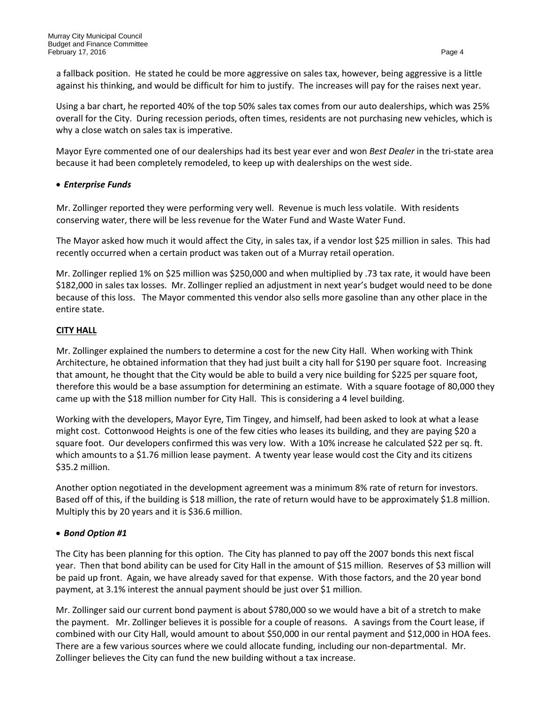Using a bar chart, he reported 40% of the top 50% sales tax comes from our auto dealerships, which was 25% overall for the City. During recession periods, often times, residents are not purchasing new vehicles, which is why a close watch on sales tax is imperative.

Mayor Eyre commented one of our dealerships had its best year ever and won *Best Dealer* in the tri-state area because it had been completely remodeled, to keep up with dealerships on the west side.

## • *Enterprise Funds*

Mr. Zollinger reported they were performing very well. Revenue is much less volatile. With residents conserving water, there will be less revenue for the Water Fund and Waste Water Fund.

The Mayor asked how much it would affect the City, in sales tax, if a vendor lost \$25 million in sales. This had recently occurred when a certain product was taken out of a Murray retail operation.

Mr. Zollinger replied 1% on \$25 million was \$250,000 and when multiplied by .73 tax rate, it would have been \$182,000 in sales tax losses. Mr. Zollinger replied an adjustment in next year's budget would need to be done because of this loss. The Mayor commented this vendor also sells more gasoline than any other place in the entire state.

# **CITY HALL**

Mr. Zollinger explained the numbers to determine a cost for the new City Hall. When working with Think Architecture, he obtained information that they had just built a city hall for \$190 per square foot. Increasing that amount, he thought that the City would be able to build a very nice building for \$225 per square foot, therefore this would be a base assumption for determining an estimate. With a square footage of 80,000 they came up with the \$18 million number for City Hall. This is considering a 4 level building.

Working with the developers, Mayor Eyre, Tim Tingey, and himself, had been asked to look at what a lease might cost. Cottonwood Heights is one of the few cities who leases its building, and they are paying \$20 a square foot. Our developers confirmed this was very low. With a 10% increase he calculated \$22 per sq. ft. which amounts to a \$1.76 million lease payment. A twenty year lease would cost the City and its citizens \$35.2 million.

Another option negotiated in the development agreement was a minimum 8% rate of return for investors. Based off of this, if the building is \$18 million, the rate of return would have to be approximately \$1.8 million. Multiply this by 20 years and it is \$36.6 million.

# • *Bond Option #1*

The City has been planning for this option. The City has planned to pay off the 2007 bonds this next fiscal year. Then that bond ability can be used for City Hall in the amount of \$15 million. Reserves of \$3 million will be paid up front. Again, we have already saved for that expense. With those factors, and the 20 year bond payment, at 3.1% interest the annual payment should be just over \$1 million.

Mr. Zollinger said our current bond payment is about \$780,000 so we would have a bit of a stretch to make the payment. Mr. Zollinger believes it is possible for a couple of reasons. A savings from the Court lease, if combined with our City Hall, would amount to about \$50,000 in our rental payment and \$12,000 in HOA fees. There are a few various sources where we could allocate funding, including our non-departmental. Mr. Zollinger believes the City can fund the new building without a tax increase.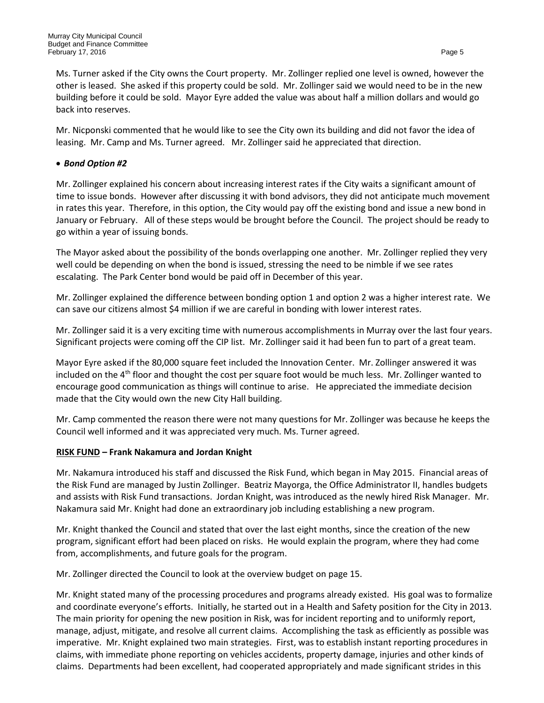Ms. Turner asked if the City owns the Court property. Mr. Zollinger replied one level is owned, however the other is leased. She asked if this property could be sold. Mr. Zollinger said we would need to be in the new building before it could be sold. Mayor Eyre added the value was about half a million dollars and would go back into reserves.

Mr. Nicponski commented that he would like to see the City own its building and did not favor the idea of leasing. Mr. Camp and Ms. Turner agreed. Mr. Zollinger said he appreciated that direction.

## • *Bond Option #2*

Mr. Zollinger explained his concern about increasing interest rates if the City waits a significant amount of time to issue bonds. However after discussing it with bond advisors, they did not anticipate much movement in rates this year. Therefore, in this option, the City would pay off the existing bond and issue a new bond in January or February. All of these steps would be brought before the Council. The project should be ready to go within a year of issuing bonds.

The Mayor asked about the possibility of the bonds overlapping one another. Mr. Zollinger replied they very well could be depending on when the bond is issued, stressing the need to be nimble if we see rates escalating. The Park Center bond would be paid off in December of this year.

Mr. Zollinger explained the difference between bonding option 1 and option 2 was a higher interest rate. We can save our citizens almost \$4 million if we are careful in bonding with lower interest rates.

Mr. Zollinger said it is a very exciting time with numerous accomplishments in Murray over the last four years. Significant projects were coming off the CIP list. Mr. Zollinger said it had been fun to part of a great team.

Mayor Eyre asked if the 80,000 square feet included the Innovation Center. Mr. Zollinger answered it was included on the  $4<sup>th</sup>$  floor and thought the cost per square foot would be much less. Mr. Zollinger wanted to encourage good communication as things will continue to arise. He appreciated the immediate decision made that the City would own the new City Hall building.

Mr. Camp commented the reason there were not many questions for Mr. Zollinger was because he keeps the Council well informed and it was appreciated very much. Ms. Turner agreed.

## **RISK FUND – Frank Nakamura and Jordan Knight**

Mr. Nakamura introduced his staff and discussed the Risk Fund, which began in May 2015. Financial areas of the Risk Fund are managed by Justin Zollinger. Beatriz Mayorga, the Office Administrator II, handles budgets and assists with Risk Fund transactions. Jordan Knight, was introduced as the newly hired Risk Manager. Mr. Nakamura said Mr. Knight had done an extraordinary job including establishing a new program.

Mr. Knight thanked the Council and stated that over the last eight months, since the creation of the new program, significant effort had been placed on risks. He would explain the program, where they had come from, accomplishments, and future goals for the program.

Mr. Zollinger directed the Council to look at the overview budget on page 15.

Mr. Knight stated many of the processing procedures and programs already existed. His goal was to formalize and coordinate everyone's efforts. Initially, he started out in a Health and Safety position for the City in 2013. The main priority for opening the new position in Risk, was for incident reporting and to uniformly report, manage, adjust, mitigate, and resolve all current claims. Accomplishing the task as efficiently as possible was imperative. Mr. Knight explained two main strategies. First, was to establish instant reporting procedures in claims, with immediate phone reporting on vehicles accidents, property damage, injuries and other kinds of claims. Departments had been excellent, had cooperated appropriately and made significant strides in this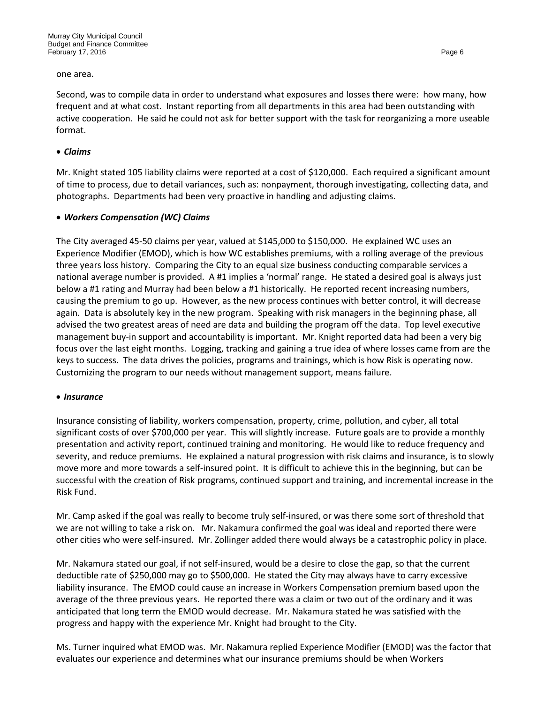#### one area.

Second, was to compile data in order to understand what exposures and losses there were: how many, how frequent and at what cost. Instant reporting from all departments in this area had been outstanding with active cooperation. He said he could not ask for better support with the task for reorganizing a more useable format.

#### • *Claims*

Mr. Knight stated 105 liability claims were reported at a cost of \$120,000. Each required a significant amount of time to process, due to detail variances, such as: nonpayment, thorough investigating, collecting data, and photographs. Departments had been very proactive in handling and adjusting claims.

#### • *Workers Compensation (WC) Claims*

The City averaged 45-50 claims per year, valued at \$145,000 to \$150,000. He explained WC uses an Experience Modifier (EMOD), which is how WC establishes premiums, with a rolling average of the previous three years loss history. Comparing the City to an equal size business conducting comparable services a national average number is provided. A #1 implies a 'normal' range. He stated a desired goal is always just below a #1 rating and Murray had been below a #1 historically. He reported recent increasing numbers, causing the premium to go up. However, as the new process continues with better control, it will decrease again. Data is absolutely key in the new program. Speaking with risk managers in the beginning phase, all advised the two greatest areas of need are data and building the program off the data. Top level executive management buy-in support and accountability is important. Mr. Knight reported data had been a very big focus over the last eight months. Logging, tracking and gaining a true idea of where losses came from are the keys to success. The data drives the policies, programs and trainings, which is how Risk is operating now. Customizing the program to our needs without management support, means failure.

#### • *Insurance*

Insurance consisting of liability, workers compensation, property, crime, pollution, and cyber, all total significant costs of over \$700,000 per year. This will slightly increase. Future goals are to provide a monthly presentation and activity report, continued training and monitoring. He would like to reduce frequency and severity, and reduce premiums. He explained a natural progression with risk claims and insurance, is to slowly move more and more towards a self-insured point. It is difficult to achieve this in the beginning, but can be successful with the creation of Risk programs, continued support and training, and incremental increase in the Risk Fund.

Mr. Camp asked if the goal was really to become truly self-insured, or was there some sort of threshold that we are not willing to take a risk on. Mr. Nakamura confirmed the goal was ideal and reported there were other cities who were self-insured. Mr. Zollinger added there would always be a catastrophic policy in place.

Mr. Nakamura stated our goal, if not self-insured, would be a desire to close the gap, so that the current deductible rate of \$250,000 may go to \$500,000. He stated the City may always have to carry excessive liability insurance. The EMOD could cause an increase in Workers Compensation premium based upon the average of the three previous years. He reported there was a claim or two out of the ordinary and it was anticipated that long term the EMOD would decrease. Mr. Nakamura stated he was satisfied with the progress and happy with the experience Mr. Knight had brought to the City.

Ms. Turner inquired what EMOD was. Mr. Nakamura replied Experience Modifier (EMOD) was the factor that evaluates our experience and determines what our insurance premiums should be when Workers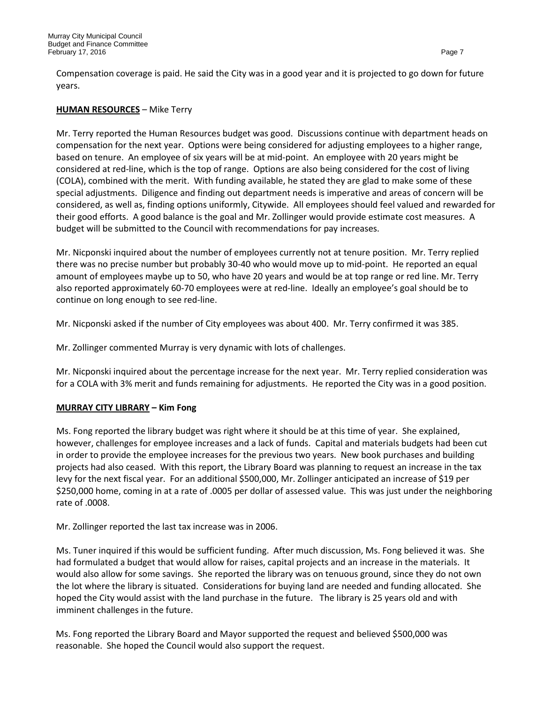Compensation coverage is paid. He said the City was in a good year and it is projected to go down for future years.

## **HUMAN RESOURCES** – Mike Terry

Mr. Terry reported the Human Resources budget was good. Discussions continue with department heads on compensation for the next year. Options were being considered for adjusting employees to a higher range, based on tenure. An employee of six years will be at mid-point. An employee with 20 years might be considered at red-line, which is the top of range. Options are also being considered for the cost of living (COLA), combined with the merit. With funding available, he stated they are glad to make some of these special adjustments. Diligence and finding out department needs is imperative and areas of concern will be considered, as well as, finding options uniformly, Citywide. All employees should feel valued and rewarded for their good efforts. A good balance is the goal and Mr. Zollinger would provide estimate cost measures. A budget will be submitted to the Council with recommendations for pay increases.

Mr. Nicponski inquired about the number of employees currently not at tenure position. Mr. Terry replied there was no precise number but probably 30-40 who would move up to mid-point. He reported an equal amount of employees maybe up to 50, who have 20 years and would be at top range or red line. Mr. Terry also reported approximately 60-70 employees were at red-line. Ideally an employee's goal should be to continue on long enough to see red-line.

Mr. Nicponski asked if the number of City employees was about 400. Mr. Terry confirmed it was 385.

Mr. Zollinger commented Murray is very dynamic with lots of challenges.

Mr. Nicponski inquired about the percentage increase for the next year. Mr. Terry replied consideration was for a COLA with 3% merit and funds remaining for adjustments. He reported the City was in a good position.

## **MURRAY CITY LIBRARY – Kim Fong**

Ms. Fong reported the library budget was right where it should be at this time of year. She explained, however, challenges for employee increases and a lack of funds. Capital and materials budgets had been cut in order to provide the employee increases for the previous two years. New book purchases and building projects had also ceased. With this report, the Library Board was planning to request an increase in the tax levy for the next fiscal year. For an additional \$500,000, Mr. Zollinger anticipated an increase of \$19 per \$250,000 home, coming in at a rate of .0005 per dollar of assessed value. This was just under the neighboring rate of .0008.

Mr. Zollinger reported the last tax increase was in 2006.

Ms. Tuner inquired if this would be sufficient funding. After much discussion, Ms. Fong believed it was. She had formulated a budget that would allow for raises, capital projects and an increase in the materials. It would also allow for some savings. She reported the library was on tenuous ground, since they do not own the lot where the library is situated. Considerations for buying land are needed and funding allocated. She hoped the City would assist with the land purchase in the future. The library is 25 years old and with imminent challenges in the future.

Ms. Fong reported the Library Board and Mayor supported the request and believed \$500,000 was reasonable. She hoped the Council would also support the request.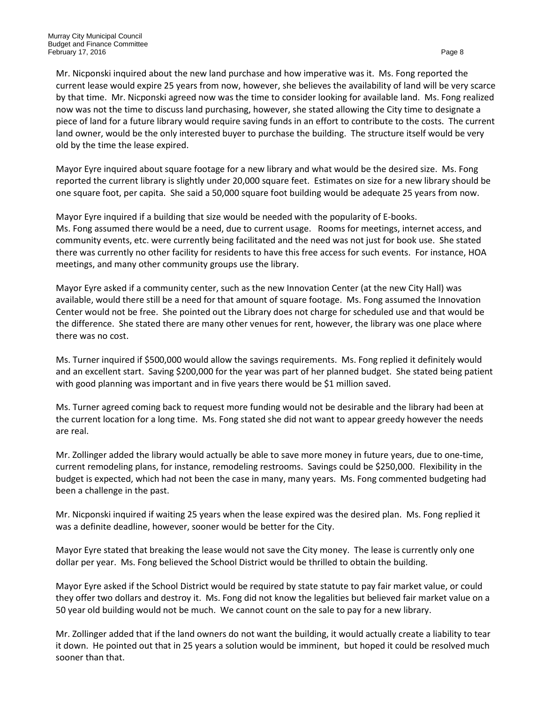Mr. Nicponski inquired about the new land purchase and how imperative was it. Ms. Fong reported the current lease would expire 25 years from now, however, she believes the availability of land will be very scarce by that time. Mr. Nicponski agreed now was the time to consider looking for available land. Ms. Fong realized now was not the time to discuss land purchasing, however, she stated allowing the City time to designate a piece of land for a future library would require saving funds in an effort to contribute to the costs. The current land owner, would be the only interested buyer to purchase the building. The structure itself would be very old by the time the lease expired.

Mayor Eyre inquired about square footage for a new library and what would be the desired size. Ms. Fong reported the current library is slightly under 20,000 square feet. Estimates on size for a new library should be one square foot, per capita. She said a 50,000 square foot building would be adequate 25 years from now.

Mayor Eyre inquired if a building that size would be needed with the popularity of E-books. Ms. Fong assumed there would be a need, due to current usage. Rooms for meetings, internet access, and community events, etc. were currently being facilitated and the need was not just for book use. She stated there was currently no other facility for residents to have this free access for such events. For instance, HOA meetings, and many other community groups use the library.

Mayor Eyre asked if a community center, such as the new Innovation Center (at the new City Hall) was available, would there still be a need for that amount of square footage. Ms. Fong assumed the Innovation Center would not be free. She pointed out the Library does not charge for scheduled use and that would be the difference. She stated there are many other venues for rent, however, the library was one place where there was no cost.

Ms. Turner inquired if \$500,000 would allow the savings requirements. Ms. Fong replied it definitely would and an excellent start. Saving \$200,000 for the year was part of her planned budget. She stated being patient with good planning was important and in five years there would be \$1 million saved.

Ms. Turner agreed coming back to request more funding would not be desirable and the library had been at the current location for a long time. Ms. Fong stated she did not want to appear greedy however the needs are real.

Mr. Zollinger added the library would actually be able to save more money in future years, due to one-time, current remodeling plans, for instance, remodeling restrooms. Savings could be \$250,000. Flexibility in the budget is expected, which had not been the case in many, many years. Ms. Fong commented budgeting had been a challenge in the past.

Mr. Nicponski inquired if waiting 25 years when the lease expired was the desired plan. Ms. Fong replied it was a definite deadline, however, sooner would be better for the City.

Mayor Eyre stated that breaking the lease would not save the City money. The lease is currently only one dollar per year. Ms. Fong believed the School District would be thrilled to obtain the building.

Mayor Eyre asked if the School District would be required by state statute to pay fair market value, or could they offer two dollars and destroy it. Ms. Fong did not know the legalities but believed fair market value on a 50 year old building would not be much. We cannot count on the sale to pay for a new library.

Mr. Zollinger added that if the land owners do not want the building, it would actually create a liability to tear it down. He pointed out that in 25 years a solution would be imminent, but hoped it could be resolved much sooner than that.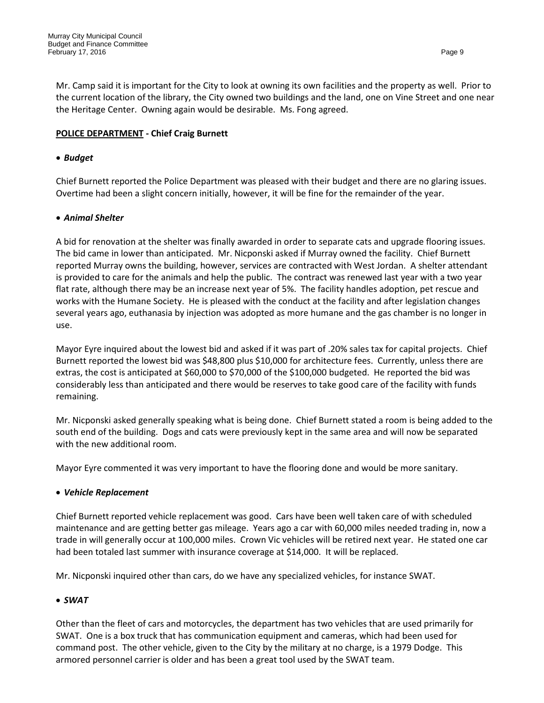Mr. Camp said it is important for the City to look at owning its own facilities and the property as well. Prior to the current location of the library, the City owned two buildings and the land, one on Vine Street and one near the Heritage Center. Owning again would be desirable. Ms. Fong agreed.

## **POLICE DEPARTMENT - Chief Craig Burnett**

#### • *Budget*

Chief Burnett reported the Police Department was pleased with their budget and there are no glaring issues. Overtime had been a slight concern initially, however, it will be fine for the remainder of the year.

#### • *Animal Shelter*

A bid for renovation at the shelter was finally awarded in order to separate cats and upgrade flooring issues. The bid came in lower than anticipated. Mr. Nicponski asked if Murray owned the facility. Chief Burnett reported Murray owns the building, however, services are contracted with West Jordan. A shelter attendant is provided to care for the animals and help the public. The contract was renewed last year with a two year flat rate, although there may be an increase next year of 5%. The facility handles adoption, pet rescue and works with the Humane Society. He is pleased with the conduct at the facility and after legislation changes several years ago, euthanasia by injection was adopted as more humane and the gas chamber is no longer in use.

Mayor Eyre inquired about the lowest bid and asked if it was part of .20% sales tax for capital projects. Chief Burnett reported the lowest bid was \$48,800 plus \$10,000 for architecture fees. Currently, unless there are extras, the cost is anticipated at \$60,000 to \$70,000 of the \$100,000 budgeted. He reported the bid was considerably less than anticipated and there would be reserves to take good care of the facility with funds remaining.

Mr. Nicponski asked generally speaking what is being done. Chief Burnett stated a room is being added to the south end of the building. Dogs and cats were previously kept in the same area and will now be separated with the new additional room.

Mayor Eyre commented it was very important to have the flooring done and would be more sanitary.

#### • *Vehicle Replacement*

Chief Burnett reported vehicle replacement was good. Cars have been well taken care of with scheduled maintenance and are getting better gas mileage. Years ago a car with 60,000 miles needed trading in, now a trade in will generally occur at 100,000 miles. Crown Vic vehicles will be retired next year. He stated one car had been totaled last summer with insurance coverage at \$14,000. It will be replaced.

Mr. Nicponski inquired other than cars, do we have any specialized vehicles, for instance SWAT.

## • *SWAT*

Other than the fleet of cars and motorcycles, the department has two vehicles that are used primarily for SWAT. One is a box truck that has communication equipment and cameras, which had been used for command post. The other vehicle, given to the City by the military at no charge, is a 1979 Dodge. This armored personnel carrier is older and has been a great tool used by the SWAT team.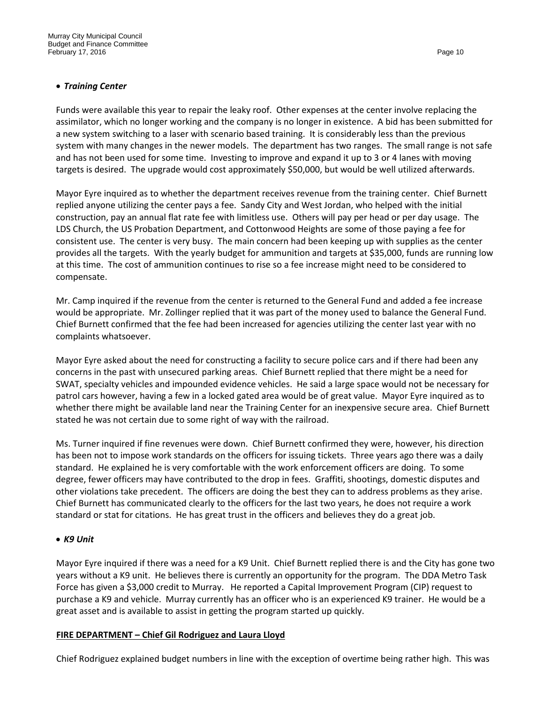## • *Training Center*

Funds were available this year to repair the leaky roof. Other expenses at the center involve replacing the assimilator, which no longer working and the company is no longer in existence. A bid has been submitted for a new system switching to a laser with scenario based training. It is considerably less than the previous system with many changes in the newer models. The department has two ranges. The small range is not safe and has not been used for some time. Investing to improve and expand it up to 3 or 4 lanes with moving targets is desired. The upgrade would cost approximately \$50,000, but would be well utilized afterwards.

Mayor Eyre inquired as to whether the department receives revenue from the training center. Chief Burnett replied anyone utilizing the center pays a fee. Sandy City and West Jordan, who helped with the initial construction, pay an annual flat rate fee with limitless use. Others will pay per head or per day usage. The LDS Church, the US Probation Department, and Cottonwood Heights are some of those paying a fee for consistent use. The center is very busy. The main concern had been keeping up with supplies as the center provides all the targets. With the yearly budget for ammunition and targets at \$35,000, funds are running low at this time. The cost of ammunition continues to rise so a fee increase might need to be considered to compensate.

Mr. Camp inquired if the revenue from the center is returned to the General Fund and added a fee increase would be appropriate. Mr. Zollinger replied that it was part of the money used to balance the General Fund. Chief Burnett confirmed that the fee had been increased for agencies utilizing the center last year with no complaints whatsoever.

Mayor Eyre asked about the need for constructing a facility to secure police cars and if there had been any concerns in the past with unsecured parking areas. Chief Burnett replied that there might be a need for SWAT, specialty vehicles and impounded evidence vehicles. He said a large space would not be necessary for patrol cars however, having a few in a locked gated area would be of great value. Mayor Eyre inquired as to whether there might be available land near the Training Center for an inexpensive secure area. Chief Burnett stated he was not certain due to some right of way with the railroad.

Ms. Turner inquired if fine revenues were down. Chief Burnett confirmed they were, however, his direction has been not to impose work standards on the officers for issuing tickets. Three years ago there was a daily standard. He explained he is very comfortable with the work enforcement officers are doing. To some degree, fewer officers may have contributed to the drop in fees. Graffiti, shootings, domestic disputes and other violations take precedent. The officers are doing the best they can to address problems as they arise. Chief Burnett has communicated clearly to the officers for the last two years, he does not require a work standard or stat for citations. He has great trust in the officers and believes they do a great job.

#### • *K9 Unit*

Mayor Eyre inquired if there was a need for a K9 Unit. Chief Burnett replied there is and the City has gone two years without a K9 unit. He believes there is currently an opportunity for the program. The DDA Metro Task Force has given a \$3,000 credit to Murray. He reported a Capital Improvement Program (CIP) request to purchase a K9 and vehicle. Murray currently has an officer who is an experienced K9 trainer. He would be a great asset and is available to assist in getting the program started up quickly.

#### **FIRE DEPARTMENT – Chief Gil Rodriguez and Laura Lloyd**

Chief Rodriguez explained budget numbers in line with the exception of overtime being rather high. This was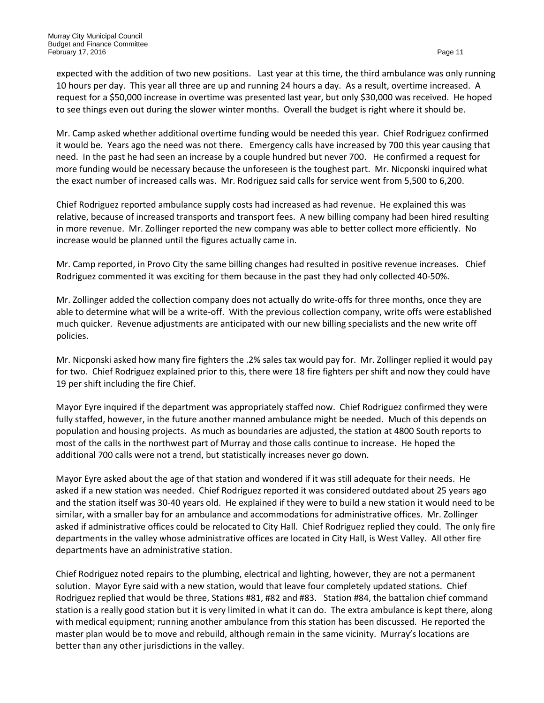expected with the addition of two new positions. Last year at this time, the third ambulance was only running 10 hours per day. This year all three are up and running 24 hours a day. As a result, overtime increased. A request for a \$50,000 increase in overtime was presented last year, but only \$30,000 was received. He hoped to see things even out during the slower winter months. Overall the budget is right where it should be.

Mr. Camp asked whether additional overtime funding would be needed this year. Chief Rodriguez confirmed it would be. Years ago the need was not there. Emergency calls have increased by 700 this year causing that need. In the past he had seen an increase by a couple hundred but never 700. He confirmed a request for more funding would be necessary because the unforeseen is the toughest part. Mr. Nicponski inquired what the exact number of increased calls was. Mr. Rodriguez said calls for service went from 5,500 to 6,200.

Chief Rodriguez reported ambulance supply costs had increased as had revenue. He explained this was relative, because of increased transports and transport fees. A new billing company had been hired resulting in more revenue. Mr. Zollinger reported the new company was able to better collect more efficiently. No increase would be planned until the figures actually came in.

Mr. Camp reported, in Provo City the same billing changes had resulted in positive revenue increases. Chief Rodriguez commented it was exciting for them because in the past they had only collected 40-50%.

Mr. Zollinger added the collection company does not actually do write-offs for three months, once they are able to determine what will be a write-off. With the previous collection company, write offs were established much quicker. Revenue adjustments are anticipated with our new billing specialists and the new write off policies.

Mr. Nicponski asked how many fire fighters the .2% sales tax would pay for. Mr. Zollinger replied it would pay for two. Chief Rodriguez explained prior to this, there were 18 fire fighters per shift and now they could have 19 per shift including the fire Chief.

Mayor Eyre inquired if the department was appropriately staffed now. Chief Rodriguez confirmed they were fully staffed, however, in the future another manned ambulance might be needed. Much of this depends on population and housing projects. As much as boundaries are adjusted, the station at 4800 South reports to most of the calls in the northwest part of Murray and those calls continue to increase. He hoped the additional 700 calls were not a trend, but statistically increases never go down.

Mayor Eyre asked about the age of that station and wondered if it was still adequate for their needs. He asked if a new station was needed. Chief Rodriguez reported it was considered outdated about 25 years ago and the station itself was 30-40 years old. He explained if they were to build a new station it would need to be similar, with a smaller bay for an ambulance and accommodations for administrative offices. Mr. Zollinger asked if administrative offices could be relocated to City Hall. Chief Rodriguez replied they could. The only fire departments in the valley whose administrative offices are located in City Hall, is West Valley. All other fire departments have an administrative station.

Chief Rodriguez noted repairs to the plumbing, electrical and lighting, however, they are not a permanent solution. Mayor Eyre said with a new station, would that leave four completely updated stations. Chief Rodriguez replied that would be three, Stations #81, #82 and #83. Station #84, the battalion chief command station is a really good station but it is very limited in what it can do. The extra ambulance is kept there, along with medical equipment; running another ambulance from this station has been discussed. He reported the master plan would be to move and rebuild, although remain in the same vicinity. Murray's locations are better than any other jurisdictions in the valley.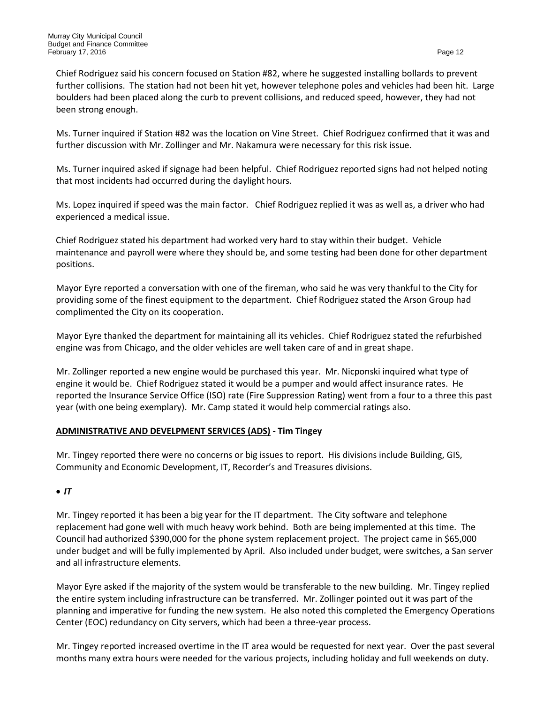Chief Rodriguez said his concern focused on Station #82, where he suggested installing bollards to prevent further collisions. The station had not been hit yet, however telephone poles and vehicles had been hit. Large boulders had been placed along the curb to prevent collisions, and reduced speed, however, they had not been strong enough.

Ms. Turner inquired if Station #82 was the location on Vine Street. Chief Rodriguez confirmed that it was and further discussion with Mr. Zollinger and Mr. Nakamura were necessary for this risk issue.

Ms. Turner inquired asked if signage had been helpful. Chief Rodriguez reported signs had not helped noting that most incidents had occurred during the daylight hours.

Ms. Lopez inquired if speed was the main factor. Chief Rodriguez replied it was as well as, a driver who had experienced a medical issue.

Chief Rodriguez stated his department had worked very hard to stay within their budget. Vehicle maintenance and payroll were where they should be, and some testing had been done for other department positions.

Mayor Eyre reported a conversation with one of the fireman, who said he was very thankful to the City for providing some of the finest equipment to the department. Chief Rodriguez stated the Arson Group had complimented the City on its cooperation.

Mayor Eyre thanked the department for maintaining all its vehicles. Chief Rodriguez stated the refurbished engine was from Chicago, and the older vehicles are well taken care of and in great shape.

Mr. Zollinger reported a new engine would be purchased this year. Mr. Nicponski inquired what type of engine it would be. Chief Rodriguez stated it would be a pumper and would affect insurance rates. He reported the Insurance Service Office (ISO) rate (Fire Suppression Rating) went from a four to a three this past year (with one being exemplary). Mr. Camp stated it would help commercial ratings also.

## **ADMINISTRATIVE AND DEVELPMENT SERVICES (ADS) - Tim Tingey**

Mr. Tingey reported there were no concerns or big issues to report. His divisions include Building, GIS, Community and Economic Development, IT, Recorder's and Treasures divisions.

• *IT*

Mr. Tingey reported it has been a big year for the IT department. The City software and telephone replacement had gone well with much heavy work behind. Both are being implemented at this time. The Council had authorized \$390,000 for the phone system replacement project. The project came in \$65,000 under budget and will be fully implemented by April. Also included under budget, were switches, a San server and all infrastructure elements.

Mayor Eyre asked if the majority of the system would be transferable to the new building. Mr. Tingey replied the entire system including infrastructure can be transferred. Mr. Zollinger pointed out it was part of the planning and imperative for funding the new system. He also noted this completed the Emergency Operations Center (EOC) redundancy on City servers, which had been a three-year process.

Mr. Tingey reported increased overtime in the IT area would be requested for next year. Over the past several months many extra hours were needed for the various projects, including holiday and full weekends on duty.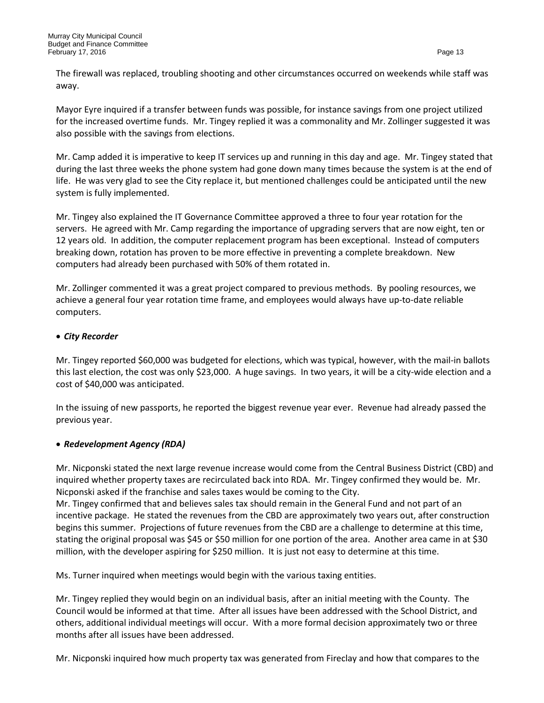The firewall was replaced, troubling shooting and other circumstances occurred on weekends while staff was away.

Mayor Eyre inquired if a transfer between funds was possible, for instance savings from one project utilized for the increased overtime funds. Mr. Tingey replied it was a commonality and Mr. Zollinger suggested it was also possible with the savings from elections.

Mr. Camp added it is imperative to keep IT services up and running in this day and age. Mr. Tingey stated that during the last three weeks the phone system had gone down many times because the system is at the end of life. He was very glad to see the City replace it, but mentioned challenges could be anticipated until the new system is fully implemented.

Mr. Tingey also explained the IT Governance Committee approved a three to four year rotation for the servers. He agreed with Mr. Camp regarding the importance of upgrading servers that are now eight, ten or 12 years old. In addition, the computer replacement program has been exceptional. Instead of computers breaking down, rotation has proven to be more effective in preventing a complete breakdown. New computers had already been purchased with 50% of them rotated in.

Mr. Zollinger commented it was a great project compared to previous methods. By pooling resources, we achieve a general four year rotation time frame, and employees would always have up-to-date reliable computers.

## • *City Recorder*

Mr. Tingey reported \$60,000 was budgeted for elections, which was typical, however, with the mail-in ballots this last election, the cost was only \$23,000. A huge savings. In two years, it will be a city-wide election and a cost of \$40,000 was anticipated.

In the issuing of new passports, he reported the biggest revenue year ever. Revenue had already passed the previous year.

## • *Redevelopment Agency (RDA)*

Mr. Nicponski stated the next large revenue increase would come from the Central Business District (CBD) and inquired whether property taxes are recirculated back into RDA. Mr. Tingey confirmed they would be. Mr. Nicponski asked if the franchise and sales taxes would be coming to the City.

Mr. Tingey confirmed that and believes sales tax should remain in the General Fund and not part of an incentive package. He stated the revenues from the CBD are approximately two years out, after construction begins this summer. Projections of future revenues from the CBD are a challenge to determine at this time, stating the original proposal was \$45 or \$50 million for one portion of the area. Another area came in at \$30 million, with the developer aspiring for \$250 million. It is just not easy to determine at this time.

Ms. Turner inquired when meetings would begin with the various taxing entities.

Mr. Tingey replied they would begin on an individual basis, after an initial meeting with the County. The Council would be informed at that time. After all issues have been addressed with the School District, and others, additional individual meetings will occur. With a more formal decision approximately two or three months after all issues have been addressed.

Mr. Nicponski inquired how much property tax was generated from Fireclay and how that compares to the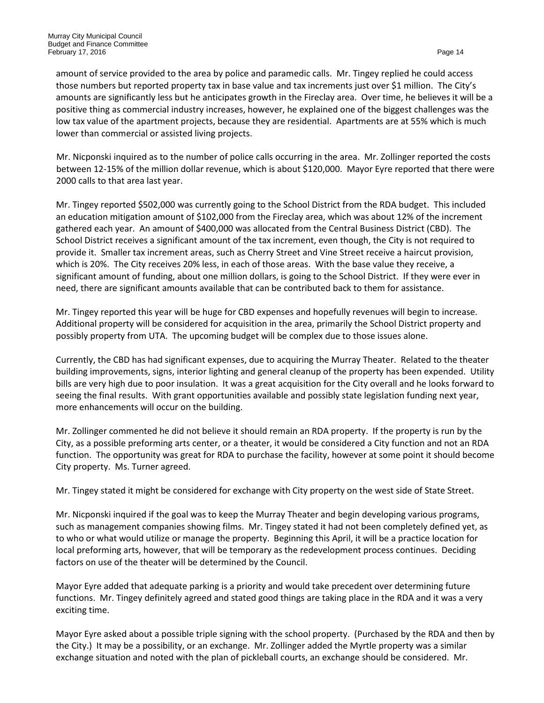amount of service provided to the area by police and paramedic calls. Mr. Tingey replied he could access those numbers but reported property tax in base value and tax increments just over \$1 million. The City's amounts are significantly less but he anticipates growth in the Fireclay area. Over time, he believes it will be a positive thing as commercial industry increases, however, he explained one of the biggest challenges was the low tax value of the apartment projects, because they are residential. Apartments are at 55% which is much lower than commercial or assisted living projects.

Mr. Nicponski inquired as to the number of police calls occurring in the area. Mr. Zollinger reported the costs between 12-15% of the million dollar revenue, which is about \$120,000. Mayor Eyre reported that there were 2000 calls to that area last year.

Mr. Tingey reported \$502,000 was currently going to the School District from the RDA budget. This included an education mitigation amount of \$102,000 from the Fireclay area, which was about 12% of the increment gathered each year. An amount of \$400,000 was allocated from the Central Business District (CBD). The School District receives a significant amount of the tax increment, even though, the City is not required to provide it. Smaller tax increment areas, such as Cherry Street and Vine Street receive a haircut provision, which is 20%. The City receives 20% less, in each of those areas. With the base value they receive, a significant amount of funding, about one million dollars, is going to the School District. If they were ever in need, there are significant amounts available that can be contributed back to them for assistance.

Mr. Tingey reported this year will be huge for CBD expenses and hopefully revenues will begin to increase. Additional property will be considered for acquisition in the area, primarily the School District property and possibly property from UTA. The upcoming budget will be complex due to those issues alone.

Currently, the CBD has had significant expenses, due to acquiring the Murray Theater. Related to the theater building improvements, signs, interior lighting and general cleanup of the property has been expended. Utility bills are very high due to poor insulation. It was a great acquisition for the City overall and he looks forward to seeing the final results. With grant opportunities available and possibly state legislation funding next year, more enhancements will occur on the building.

Mr. Zollinger commented he did not believe it should remain an RDA property. If the property is run by the City, as a possible preforming arts center, or a theater, it would be considered a City function and not an RDA function. The opportunity was great for RDA to purchase the facility, however at some point it should become City property. Ms. Turner agreed.

Mr. Tingey stated it might be considered for exchange with City property on the west side of State Street.

Mr. Nicponski inquired if the goal was to keep the Murray Theater and begin developing various programs, such as management companies showing films. Mr. Tingey stated it had not been completely defined yet, as to who or what would utilize or manage the property. Beginning this April, it will be a practice location for local preforming arts, however, that will be temporary as the redevelopment process continues. Deciding factors on use of the theater will be determined by the Council.

Mayor Eyre added that adequate parking is a priority and would take precedent over determining future functions. Mr. Tingey definitely agreed and stated good things are taking place in the RDA and it was a very exciting time.

Mayor Eyre asked about a possible triple signing with the school property. (Purchased by the RDA and then by the City.) It may be a possibility, or an exchange. Mr. Zollinger added the Myrtle property was a similar exchange situation and noted with the plan of pickleball courts, an exchange should be considered. Mr.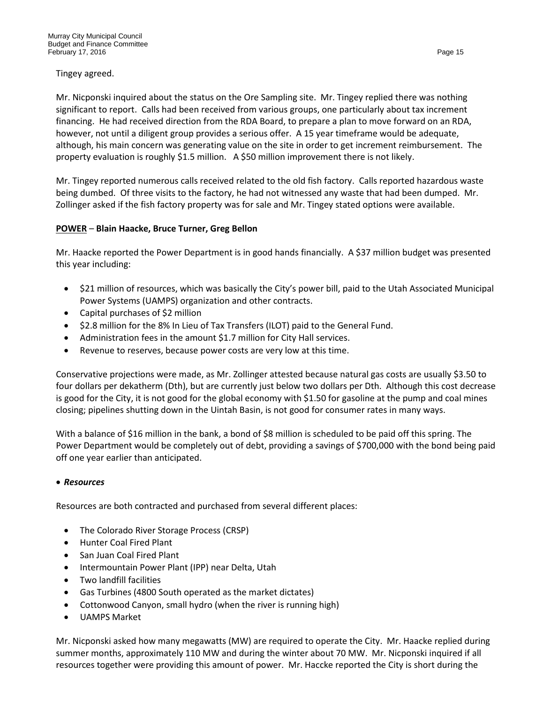Tingey agreed.

Mr. Nicponski inquired about the status on the Ore Sampling site. Mr. Tingey replied there was nothing significant to report. Calls had been received from various groups, one particularly about tax increment financing. He had received direction from the RDA Board, to prepare a plan to move forward on an RDA, however, not until a diligent group provides a serious offer. A 15 year timeframe would be adequate, although, his main concern was generating value on the site in order to get increment reimbursement. The property evaluation is roughly \$1.5 million. A \$50 million improvement there is not likely.

Mr. Tingey reported numerous calls received related to the old fish factory. Calls reported hazardous waste being dumbed. Of three visits to the factory, he had not witnessed any waste that had been dumped. Mr. Zollinger asked if the fish factory property was for sale and Mr. Tingey stated options were available.

## **POWER** – **Blain Haacke, Bruce Turner, Greg Bellon**

Mr. Haacke reported the Power Department is in good hands financially. A \$37 million budget was presented this year including:

- \$21 million of resources, which was basically the City's power bill, paid to the Utah Associated Municipal Power Systems (UAMPS) organization and other contracts.
- Capital purchases of \$2 million
- \$2.8 million for the 8% In Lieu of Tax Transfers (ILOT) paid to the General Fund.
- Administration fees in the amount \$1.7 million for City Hall services.
- Revenue to reserves, because power costs are very low at this time.

Conservative projections were made, as Mr. Zollinger attested because natural gas costs are usually \$3.50 to four dollars per dekatherm (Dth), but are currently just below two dollars per Dth. Although this cost decrease is good for the City, it is not good for the global economy with \$1.50 for gasoline at the pump and coal mines closing; pipelines shutting down in the Uintah Basin, is not good for consumer rates in many ways.

With a balance of \$16 million in the bank, a bond of \$8 million is scheduled to be paid off this spring. The Power Department would be completely out of debt, providing a savings of \$700,000 with the bond being paid off one year earlier than anticipated.

## • *Resources*

Resources are both contracted and purchased from several different places:

- The Colorado River Storage Process (CRSP)
- Hunter Coal Fired Plant
- San Juan Coal Fired Plant
- Intermountain Power Plant (IPP) near Delta, Utah
- Two landfill facilities
- Gas Turbines (4800 South operated as the market dictates)
- Cottonwood Canyon, small hydro (when the river is running high)
- UAMPS Market

Mr. Nicponski asked how many megawatts (MW) are required to operate the City. Mr. Haacke replied during summer months, approximately 110 MW and during the winter about 70 MW. Mr. Nicponski inquired if all resources together were providing this amount of power. Mr. Haccke reported the City is short during the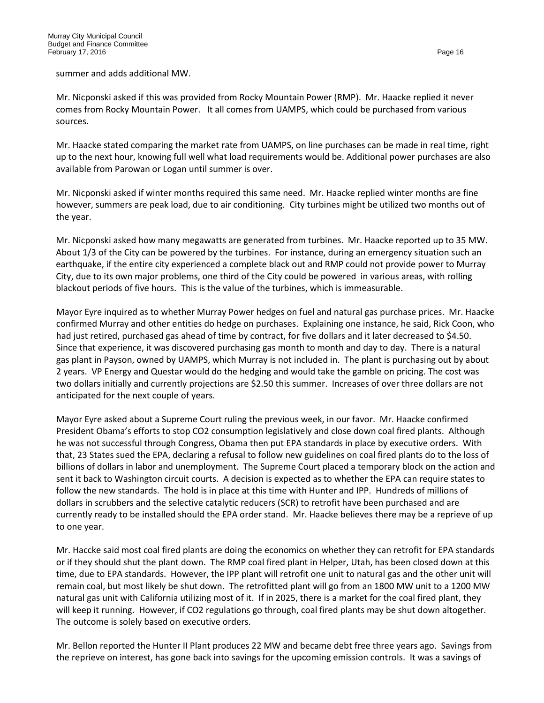summer and adds additional MW.

Mr. Nicponski asked if this was provided from Rocky Mountain Power (RMP). Mr. Haacke replied it never comes from Rocky Mountain Power. It all comes from UAMPS, which could be purchased from various sources.

Mr. Haacke stated comparing the market rate from UAMPS, on line purchases can be made in real time, right up to the next hour, knowing full well what load requirements would be. Additional power purchases are also available from Parowan or Logan until summer is over.

Mr. Nicponski asked if winter months required this same need. Mr. Haacke replied winter months are fine however, summers are peak load, due to air conditioning. City turbines might be utilized two months out of the year.

Mr. Nicponski asked how many megawatts are generated from turbines. Mr. Haacke reported up to 35 MW. About 1/3 of the City can be powered by the turbines. For instance, during an emergency situation such an earthquake, if the entire city experienced a complete black out and RMP could not provide power to Murray City, due to its own major problems, one third of the City could be powered in various areas, with rolling blackout periods of five hours. This is the value of the turbines, which is immeasurable.

Mayor Eyre inquired as to whether Murray Power hedges on fuel and natural gas purchase prices. Mr. Haacke confirmed Murray and other entities do hedge on purchases. Explaining one instance, he said, Rick Coon, who had just retired, purchased gas ahead of time by contract, for five dollars and it later decreased to \$4.50. Since that experience, it was discovered purchasing gas month to month and day to day. There is a natural gas plant in Payson, owned by UAMPS, which Murray is not included in. The plant is purchasing out by about 2 years. VP Energy and Questar would do the hedging and would take the gamble on pricing. The cost was two dollars initially and currently projections are \$2.50 this summer. Increases of over three dollars are not anticipated for the next couple of years.

Mayor Eyre asked about a Supreme Court ruling the previous week, in our favor. Mr. Haacke confirmed President Obama's efforts to stop CO2 consumption legislatively and close down coal fired plants. Although he was not successful through Congress, Obama then put EPA standards in place by executive orders. With that, 23 States sued the EPA, declaring a refusal to follow new guidelines on coal fired plants do to the loss of billions of dollars in labor and unemployment. The Supreme Court placed a temporary block on the action and sent it back to Washington circuit courts. A decision is expected as to whether the EPA can require states to follow the new standards. The hold is in place at this time with Hunter and IPP. Hundreds of millions of dollars in scrubbers and the selective catalytic reducers (SCR) to retrofit have been purchased and are currently ready to be installed should the EPA order stand. Mr. Haacke believes there may be a reprieve of up to one year.

Mr. Haccke said most coal fired plants are doing the economics on whether they can retrofit for EPA standards or if they should shut the plant down. The RMP coal fired plant in Helper, Utah, has been closed down at this time, due to EPA standards. However, the IPP plant will retrofit one unit to natural gas and the other unit will remain coal, but most likely be shut down. The retrofitted plant will go from an 1800 MW unit to a 1200 MW natural gas unit with California utilizing most of it. If in 2025, there is a market for the coal fired plant, they will keep it running. However, if CO2 regulations go through, coal fired plants may be shut down altogether. The outcome is solely based on executive orders.

Mr. Bellon reported the Hunter II Plant produces 22 MW and became debt free three years ago. Savings from the reprieve on interest, has gone back into savings for the upcoming emission controls. It was a savings of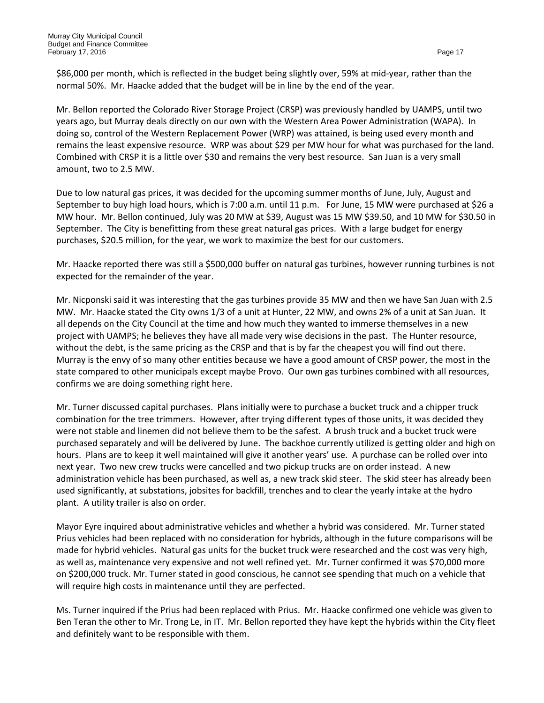\$86,000 per month, which is reflected in the budget being slightly over, 59% at mid-year, rather than the normal 50%. Mr. Haacke added that the budget will be in line by the end of the year.

Mr. Bellon reported the Colorado River Storage Project (CRSP) was previously handled by UAMPS, until two years ago, but Murray deals directly on our own with the Western Area Power Administration (WAPA). In doing so, control of the Western Replacement Power (WRP) was attained, is being used every month and remains the least expensive resource. WRP was about \$29 per MW hour for what was purchased for the land. Combined with CRSP it is a little over \$30 and remains the very best resource. San Juan is a very small amount, two to 2.5 MW.

Due to low natural gas prices, it was decided for the upcoming summer months of June, July, August and September to buy high load hours, which is 7:00 a.m. until 11 p.m. For June, 15 MW were purchased at \$26 a MW hour. Mr. Bellon continued, July was 20 MW at \$39, August was 15 MW \$39.50, and 10 MW for \$30.50 in September. The City is benefitting from these great natural gas prices. With a large budget for energy purchases, \$20.5 million, for the year, we work to maximize the best for our customers.

Mr. Haacke reported there was still a \$500,000 buffer on natural gas turbines, however running turbines is not expected for the remainder of the year.

Mr. Nicponski said it was interesting that the gas turbines provide 35 MW and then we have San Juan with 2.5 MW. Mr. Haacke stated the City owns 1/3 of a unit at Hunter, 22 MW, and owns 2% of a unit at San Juan. It all depends on the City Council at the time and how much they wanted to immerse themselves in a new project with UAMPS; he believes they have all made very wise decisions in the past. The Hunter resource, without the debt, is the same pricing as the CRSP and that is by far the cheapest you will find out there. Murray is the envy of so many other entities because we have a good amount of CRSP power, the most in the state compared to other municipals except maybe Provo. Our own gas turbines combined with all resources, confirms we are doing something right here.

Mr. Turner discussed capital purchases. Plans initially were to purchase a bucket truck and a chipper truck combination for the tree trimmers. However, after trying different types of those units, it was decided they were not stable and linemen did not believe them to be the safest. A brush truck and a bucket truck were purchased separately and will be delivered by June. The backhoe currently utilized is getting older and high on hours. Plans are to keep it well maintained will give it another years' use. A purchase can be rolled over into next year. Two new crew trucks were cancelled and two pickup trucks are on order instead. A new administration vehicle has been purchased, as well as, a new track skid steer. The skid steer has already been used significantly, at substations, jobsites for backfill, trenches and to clear the yearly intake at the hydro plant. A utility trailer is also on order.

Mayor Eyre inquired about administrative vehicles and whether a hybrid was considered. Mr. Turner stated Prius vehicles had been replaced with no consideration for hybrids, although in the future comparisons will be made for hybrid vehicles. Natural gas units for the bucket truck were researched and the cost was very high, as well as, maintenance very expensive and not well refined yet. Mr. Turner confirmed it was \$70,000 more on \$200,000 truck. Mr. Turner stated in good conscious, he cannot see spending that much on a vehicle that will require high costs in maintenance until they are perfected.

Ms. Turner inquired if the Prius had been replaced with Prius. Mr. Haacke confirmed one vehicle was given to Ben Teran the other to Mr. Trong Le, in IT. Mr. Bellon reported they have kept the hybrids within the City fleet and definitely want to be responsible with them.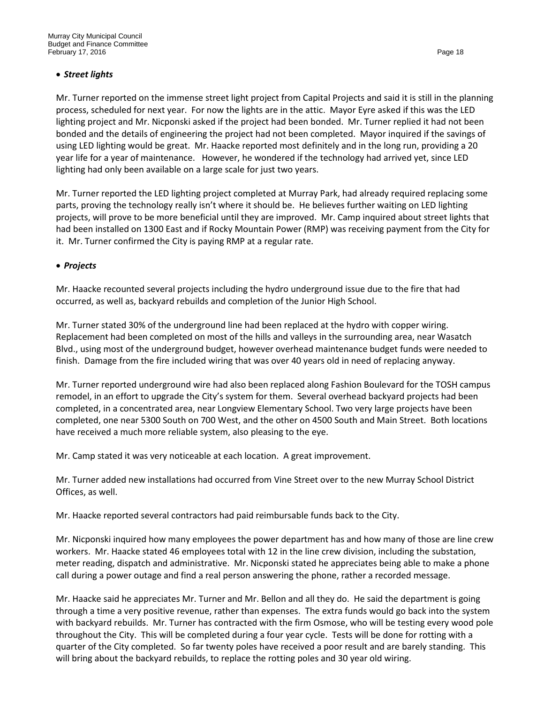## • *Street lights*

Mr. Turner reported on the immense street light project from Capital Projects and said it is still in the planning process, scheduled for next year. For now the lights are in the attic. Mayor Eyre asked if this was the LED lighting project and Mr. Nicponski asked if the project had been bonded. Mr. Turner replied it had not been bonded and the details of engineering the project had not been completed. Mayor inquired if the savings of using LED lighting would be great. Mr. Haacke reported most definitely and in the long run, providing a 20 year life for a year of maintenance. However, he wondered if the technology had arrived yet, since LED lighting had only been available on a large scale for just two years.

Mr. Turner reported the LED lighting project completed at Murray Park, had already required replacing some parts, proving the technology really isn't where it should be. He believes further waiting on LED lighting projects, will prove to be more beneficial until they are improved. Mr. Camp inquired about street lights that had been installed on 1300 East and if Rocky Mountain Power (RMP) was receiving payment from the City for it. Mr. Turner confirmed the City is paying RMP at a regular rate.

## • *Projects*

Mr. Haacke recounted several projects including the hydro underground issue due to the fire that had occurred, as well as, backyard rebuilds and completion of the Junior High School.

Mr. Turner stated 30% of the underground line had been replaced at the hydro with copper wiring. Replacement had been completed on most of the hills and valleys in the surrounding area, near Wasatch Blvd., using most of the underground budget, however overhead maintenance budget funds were needed to finish. Damage from the fire included wiring that was over 40 years old in need of replacing anyway.

Mr. Turner reported underground wire had also been replaced along Fashion Boulevard for the TOSH campus remodel, in an effort to upgrade the City's system for them. Several overhead backyard projects had been completed, in a concentrated area, near Longview Elementary School. Two very large projects have been completed, one near 5300 South on 700 West, and the other on 4500 South and Main Street. Both locations have received a much more reliable system, also pleasing to the eye.

Mr. Camp stated it was very noticeable at each location. A great improvement.

Mr. Turner added new installations had occurred from Vine Street over to the new Murray School District Offices, as well.

Mr. Haacke reported several contractors had paid reimbursable funds back to the City.

Mr. Nicponski inquired how many employees the power department has and how many of those are line crew workers. Mr. Haacke stated 46 employees total with 12 in the line crew division, including the substation, meter reading, dispatch and administrative. Mr. Nicponski stated he appreciates being able to make a phone call during a power outage and find a real person answering the phone, rather a recorded message.

Mr. Haacke said he appreciates Mr. Turner and Mr. Bellon and all they do. He said the department is going through a time a very positive revenue, rather than expenses. The extra funds would go back into the system with backyard rebuilds. Mr. Turner has contracted with the firm Osmose, who will be testing every wood pole throughout the City. This will be completed during a four year cycle. Tests will be done for rotting with a quarter of the City completed. So far twenty poles have received a poor result and are barely standing. This will bring about the backyard rebuilds, to replace the rotting poles and 30 year old wiring.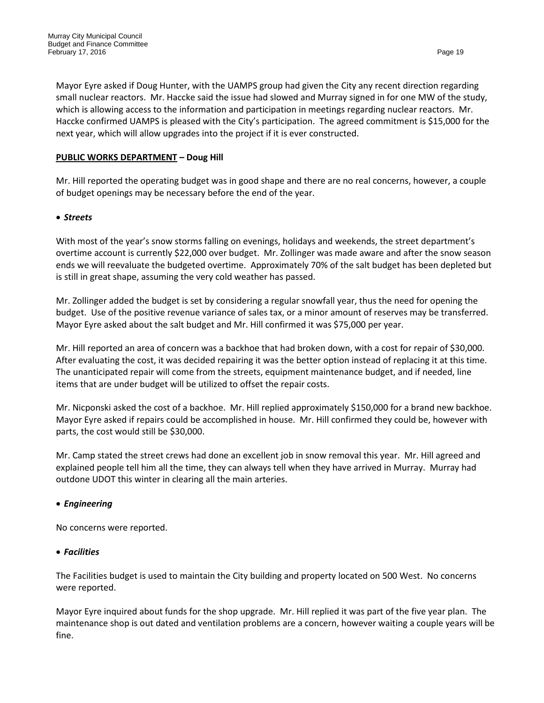Mayor Eyre asked if Doug Hunter, with the UAMPS group had given the City any recent direction regarding small nuclear reactors. Mr. Haccke said the issue had slowed and Murray signed in for one MW of the study, which is allowing access to the information and participation in meetings regarding nuclear reactors. Mr. Haccke confirmed UAMPS is pleased with the City's participation. The agreed commitment is \$15,000 for the next year, which will allow upgrades into the project if it is ever constructed.

## **PUBLIC WORKS DEPARTMENT – Doug Hill**

Mr. Hill reported the operating budget was in good shape and there are no real concerns, however, a couple of budget openings may be necessary before the end of the year.

## • *Streets*

With most of the year's snow storms falling on evenings, holidays and weekends, the street department's overtime account is currently \$22,000 over budget. Mr. Zollinger was made aware and after the snow season ends we will reevaluate the budgeted overtime. Approximately 70% of the salt budget has been depleted but is still in great shape, assuming the very cold weather has passed.

Mr. Zollinger added the budget is set by considering a regular snowfall year, thus the need for opening the budget. Use of the positive revenue variance of sales tax, or a minor amount of reserves may be transferred. Mayor Eyre asked about the salt budget and Mr. Hill confirmed it was \$75,000 per year.

Mr. Hill reported an area of concern was a backhoe that had broken down, with a cost for repair of \$30,000. After evaluating the cost, it was decided repairing it was the better option instead of replacing it at this time. The unanticipated repair will come from the streets, equipment maintenance budget, and if needed, line items that are under budget will be utilized to offset the repair costs.

Mr. Nicponski asked the cost of a backhoe. Mr. Hill replied approximately \$150,000 for a brand new backhoe. Mayor Eyre asked if repairs could be accomplished in house. Mr. Hill confirmed they could be, however with parts, the cost would still be \$30,000.

Mr. Camp stated the street crews had done an excellent job in snow removal this year. Mr. Hill agreed and explained people tell him all the time, they can always tell when they have arrived in Murray. Murray had outdone UDOT this winter in clearing all the main arteries.

## • *Engineering*

No concerns were reported.

## • *Facilities*

The Facilities budget is used to maintain the City building and property located on 500 West. No concerns were reported.

Mayor Eyre inquired about funds for the shop upgrade. Mr. Hill replied it was part of the five year plan. The maintenance shop is out dated and ventilation problems are a concern, however waiting a couple years will be fine.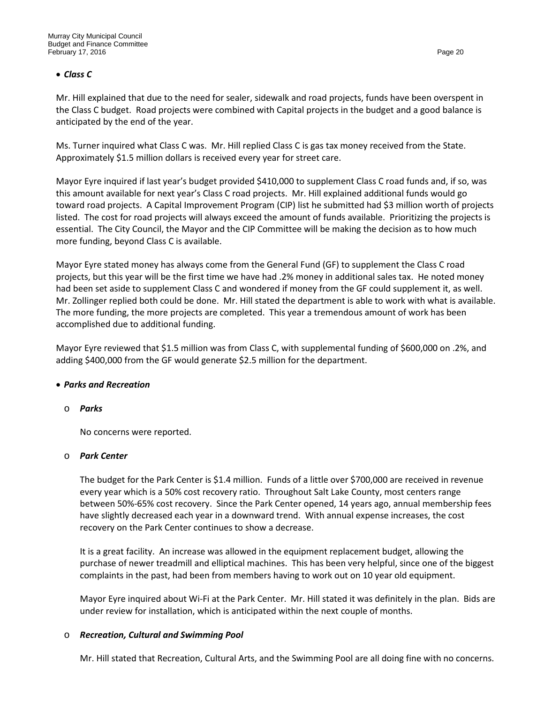#### • *Class C*

Mr. Hill explained that due to the need for sealer, sidewalk and road projects, funds have been overspent in the Class C budget. Road projects were combined with Capital projects in the budget and a good balance is anticipated by the end of the year.

Ms. Turner inquired what Class C was. Mr. Hill replied Class C is gas tax money received from the State. Approximately \$1.5 million dollars is received every year for street care.

Mayor Eyre inquired if last year's budget provided \$410,000 to supplement Class C road funds and, if so, was this amount available for next year's Class C road projects. Mr. Hill explained additional funds would go toward road projects. A Capital Improvement Program (CIP) list he submitted had \$3 million worth of projects listed. The cost for road projects will always exceed the amount of funds available. Prioritizing the projects is essential. The City Council, the Mayor and the CIP Committee will be making the decision as to how much more funding, beyond Class C is available.

Mayor Eyre stated money has always come from the General Fund (GF) to supplement the Class C road projects, but this year will be the first time we have had .2% money in additional sales tax. He noted money had been set aside to supplement Class C and wondered if money from the GF could supplement it, as well. Mr. Zollinger replied both could be done. Mr. Hill stated the department is able to work with what is available. The more funding, the more projects are completed. This year a tremendous amount of work has been accomplished due to additional funding.

Mayor Eyre reviewed that \$1.5 million was from Class C, with supplemental funding of \$600,000 on .2%, and adding \$400,000 from the GF would generate \$2.5 million for the department.

#### • *Parks and Recreation*

#### o *Parks*

No concerns were reported.

#### o *Park Center*

The budget for the Park Center is \$1.4 million. Funds of a little over \$700,000 are received in revenue every year which is a 50% cost recovery ratio. Throughout Salt Lake County, most centers range between 50%-65% cost recovery. Since the Park Center opened, 14 years ago, annual membership fees have slightly decreased each year in a downward trend. With annual expense increases, the cost recovery on the Park Center continues to show a decrease.

It is a great facility. An increase was allowed in the equipment replacement budget, allowing the purchase of newer treadmill and elliptical machines. This has been very helpful, since one of the biggest complaints in the past, had been from members having to work out on 10 year old equipment.

Mayor Eyre inquired about Wi-Fi at the Park Center. Mr. Hill stated it was definitely in the plan. Bids are under review for installation, which is anticipated within the next couple of months.

## o *Recreation, Cultural and Swimming Pool*

Mr. Hill stated that Recreation, Cultural Arts, and the Swimming Pool are all doing fine with no concerns.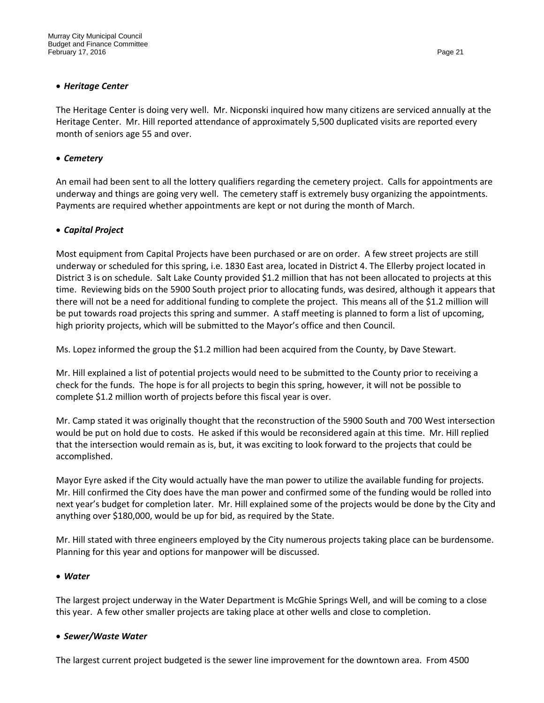## • *Heritage Center*

The Heritage Center is doing very well. Mr. Nicponski inquired how many citizens are serviced annually at the Heritage Center. Mr. Hill reported attendance of approximately 5,500 duplicated visits are reported every month of seniors age 55 and over.

## • *Cemetery*

An email had been sent to all the lottery qualifiers regarding the cemetery project. Calls for appointments are underway and things are going very well. The cemetery staff is extremely busy organizing the appointments. Payments are required whether appointments are kept or not during the month of March.

## • *Capital Project*

Most equipment from Capital Projects have been purchased or are on order. A few street projects are still underway or scheduled for this spring, i.e. 1830 East area, located in District 4. The Ellerby project located in District 3 is on schedule. Salt Lake County provided \$1.2 million that has not been allocated to projects at this time. Reviewing bids on the 5900 South project prior to allocating funds, was desired, although it appears that there will not be a need for additional funding to complete the project. This means all of the \$1.2 million will be put towards road projects this spring and summer. A staff meeting is planned to form a list of upcoming, high priority projects, which will be submitted to the Mayor's office and then Council.

Ms. Lopez informed the group the \$1.2 million had been acquired from the County, by Dave Stewart.

Mr. Hill explained a list of potential projects would need to be submitted to the County prior to receiving a check for the funds. The hope is for all projects to begin this spring, however, it will not be possible to complete \$1.2 million worth of projects before this fiscal year is over.

Mr. Camp stated it was originally thought that the reconstruction of the 5900 South and 700 West intersection would be put on hold due to costs. He asked if this would be reconsidered again at this time. Mr. Hill replied that the intersection would remain as is, but, it was exciting to look forward to the projects that could be accomplished.

Mayor Eyre asked if the City would actually have the man power to utilize the available funding for projects. Mr. Hill confirmed the City does have the man power and confirmed some of the funding would be rolled into next year's budget for completion later. Mr. Hill explained some of the projects would be done by the City and anything over \$180,000, would be up for bid, as required by the State.

Mr. Hill stated with three engineers employed by the City numerous projects taking place can be burdensome. Planning for this year and options for manpower will be discussed.

## • *Water*

The largest project underway in the Water Department is McGhie Springs Well, and will be coming to a close this year. A few other smaller projects are taking place at other wells and close to completion.

## • *Sewer/Waste Water*

The largest current project budgeted is the sewer line improvement for the downtown area. From 4500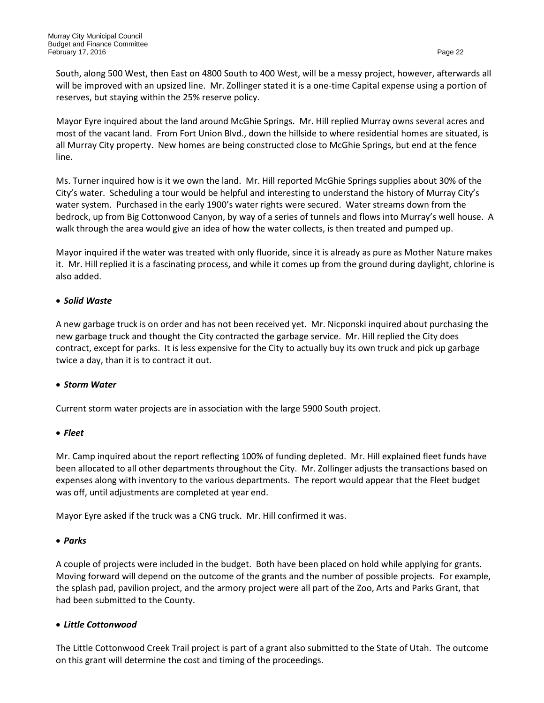South, along 500 West, then East on 4800 South to 400 West, will be a messy project, however, afterwards all will be improved with an upsized line. Mr. Zollinger stated it is a one-time Capital expense using a portion of reserves, but staying within the 25% reserve policy.

Mayor Eyre inquired about the land around McGhie Springs. Mr. Hill replied Murray owns several acres and most of the vacant land. From Fort Union Blvd., down the hillside to where residential homes are situated, is all Murray City property. New homes are being constructed close to McGhie Springs, but end at the fence line.

Ms. Turner inquired how is it we own the land. Mr. Hill reported McGhie Springs supplies about 30% of the City's water. Scheduling a tour would be helpful and interesting to understand the history of Murray City's water system. Purchased in the early 1900's water rights were secured. Water streams down from the bedrock, up from Big Cottonwood Canyon, by way of a series of tunnels and flows into Murray's well house. A walk through the area would give an idea of how the water collects, is then treated and pumped up.

Mayor inquired if the water was treated with only fluoride, since it is already as pure as Mother Nature makes it. Mr. Hill replied it is a fascinating process, and while it comes up from the ground during daylight, chlorine is also added.

## • *Solid Waste*

A new garbage truck is on order and has not been received yet. Mr. Nicponski inquired about purchasing the new garbage truck and thought the City contracted the garbage service. Mr. Hill replied the City does contract, except for parks. It is less expensive for the City to actually buy its own truck and pick up garbage twice a day, than it is to contract it out.

## • *Storm Water*

Current storm water projects are in association with the large 5900 South project.

#### • *Fleet*

Mr. Camp inquired about the report reflecting 100% of funding depleted. Mr. Hill explained fleet funds have been allocated to all other departments throughout the City. Mr. Zollinger adjusts the transactions based on expenses along with inventory to the various departments. The report would appear that the Fleet budget was off, until adjustments are completed at year end.

Mayor Eyre asked if the truck was a CNG truck. Mr. Hill confirmed it was.

## • *Parks*

A couple of projects were included in the budget. Both have been placed on hold while applying for grants. Moving forward will depend on the outcome of the grants and the number of possible projects. For example, the splash pad, pavilion project, and the armory project were all part of the Zoo, Arts and Parks Grant, that had been submitted to the County.

## • *Little Cottonwood*

The Little Cottonwood Creek Trail project is part of a grant also submitted to the State of Utah. The outcome on this grant will determine the cost and timing of the proceedings.